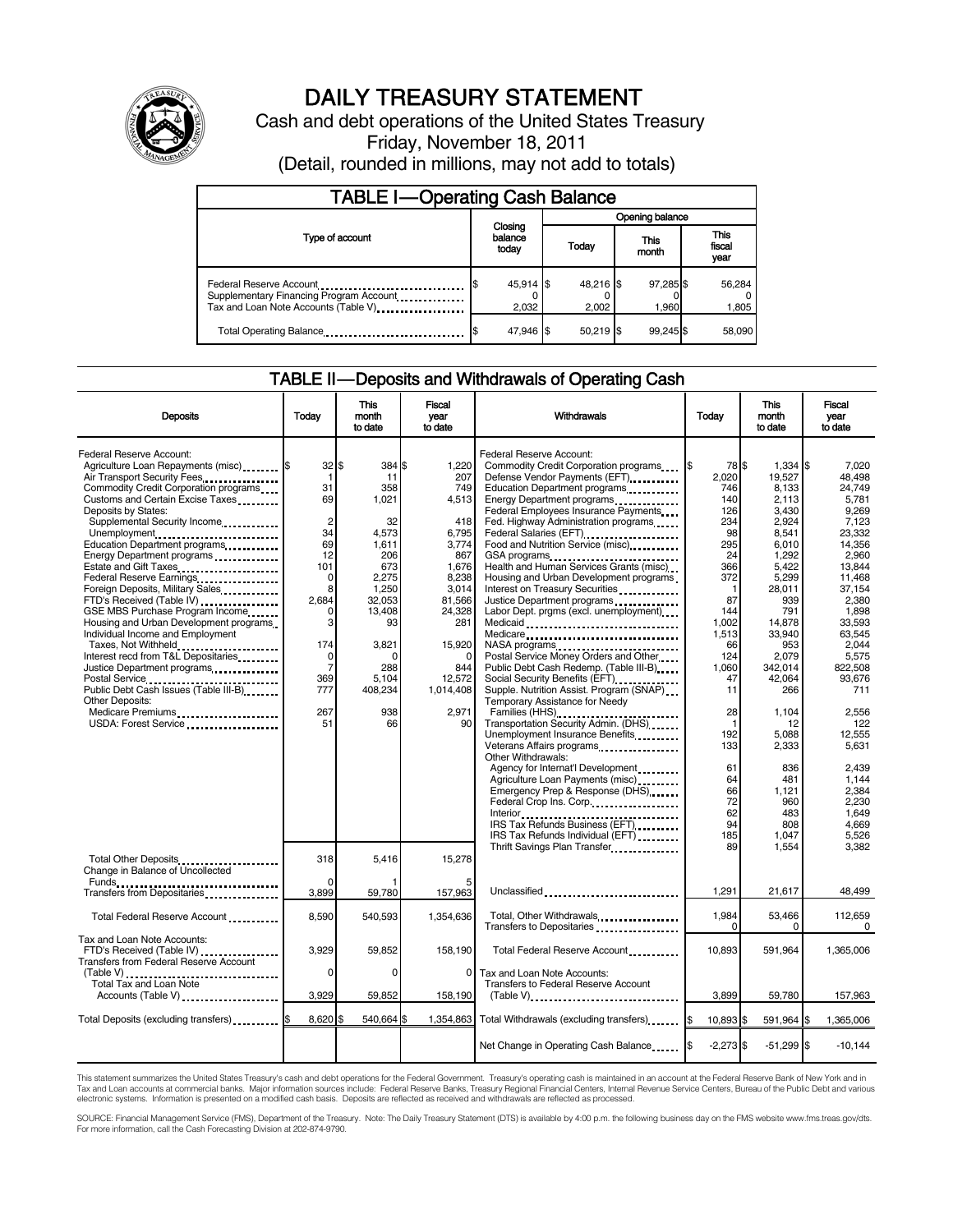

# DAILY TREASURY STATEMENT

Cash and debt operations of the United States Treasury Friday, November 18, 2011

(Detail, rounded in millions, may not add to totals)

| <b>TABLE I-Operating Cash Balance</b>                                                                      |                             |                    |                    |                        |  |  |  |  |
|------------------------------------------------------------------------------------------------------------|-----------------------------|--------------------|--------------------|------------------------|--|--|--|--|
|                                                                                                            |                             | Opening balance    |                    |                        |  |  |  |  |
| Type of account                                                                                            | Closing<br>balance<br>today | Today              | This<br>month      | This<br>fiscal<br>year |  |  |  |  |
| Federal Reserve Account<br>Supplementary Financing Program Account<br>Tax and Loan Note Accounts (Table V) | 45,914 \$<br>2,032          | 48,216 \$<br>2.002 | 97,285 \$<br>1.960 | 56,284<br>1,805        |  |  |  |  |
| Total Operating Balance                                                                                    | 47,946 \$                   | $50.219$ \$        | 99.245\$           | 58.090                 |  |  |  |  |

#### TABLE II — Deposits and Withdrawals of Operating Cash

| <b>Deposits</b>                                                                                                                                                                                                                                                                                                                                                                                                                                                                                                                                                                                                                                                                                                                                                              | Todav                                                                                                                                                                                    | <b>This</b><br>month<br>to date                                                                                                                                   | <b>Fiscal</b><br>vear<br>to date                                                                                                                                                      | Withdrawals                                                                                                                                                                                                                                                                                                                                                                                                                                                                                                                                                                                                                                                                                                                                                                                                                                                                                                                                             | Today                                                                                                                                                                                            | <b>This</b><br>month<br>to date                                                                                                                                                                                                 | <b>Fiscal</b><br>vear<br>to date                                                                                                                                                                                                       |
|------------------------------------------------------------------------------------------------------------------------------------------------------------------------------------------------------------------------------------------------------------------------------------------------------------------------------------------------------------------------------------------------------------------------------------------------------------------------------------------------------------------------------------------------------------------------------------------------------------------------------------------------------------------------------------------------------------------------------------------------------------------------------|------------------------------------------------------------------------------------------------------------------------------------------------------------------------------------------|-------------------------------------------------------------------------------------------------------------------------------------------------------------------|---------------------------------------------------------------------------------------------------------------------------------------------------------------------------------------|---------------------------------------------------------------------------------------------------------------------------------------------------------------------------------------------------------------------------------------------------------------------------------------------------------------------------------------------------------------------------------------------------------------------------------------------------------------------------------------------------------------------------------------------------------------------------------------------------------------------------------------------------------------------------------------------------------------------------------------------------------------------------------------------------------------------------------------------------------------------------------------------------------------------------------------------------------|--------------------------------------------------------------------------------------------------------------------------------------------------------------------------------------------------|---------------------------------------------------------------------------------------------------------------------------------------------------------------------------------------------------------------------------------|----------------------------------------------------------------------------------------------------------------------------------------------------------------------------------------------------------------------------------------|
| Federal Reserve Account:<br>Agriculture Loan Repayments (misc) \$<br>Air Transport Security Fees<br>Commodity Credit Corporation programs<br>Customs and Certain Excise Taxes<br>Deposits by States:<br>Supplemental Security Income<br>Unemployment<br>Education Department programs<br>Energy Department programs<br>Estate and Gift Taxes<br><br>Federal Reserve Earnings<br>Foreign Deposits, Military Sales<br>FTD's Received (Table IV)<br>GSE MBS Purchase Program Income<br>Housing and Urban Development programs.<br>Individual Income and Employment<br>Taxes, Not Withheld<br>Interest recd from T&L Depositaries<br>Justice Department programs<br>Public Debt Cash Issues (Table III-B)<br><b>Other Deposits:</b><br>Medicare Premiums<br>USDA: Forest Service | $32$ $\frac{1}{3}$<br>$\mathbf 1$<br>31<br>69<br>$\overline{2}$<br>34<br>69<br>12<br>101<br>$\mathbf 0$<br>8<br>2,684<br>0<br>3<br>174<br>0<br>$\overline{7}$<br>369<br>777<br>267<br>51 | 384<br>11<br>358<br>1,021<br>32<br>4,573<br>1.611<br>206<br>673<br>2,275<br>1.250<br>32,053<br>13,408<br>93<br>3,821<br>O<br>288<br>5,104<br>408,234<br>938<br>66 | 1,220<br>207<br>749<br>4,513<br>418<br>6,795<br>3.774<br>867<br>1,676<br>8,238<br>3.014<br>81,566<br>24,328<br>281<br>15,920<br>$\Omega$<br>844<br>12,572<br>1,014,408<br>2.971<br>90 | Federal Reserve Account:<br>Commodity Credit Corporation programs<br>Defense Vendor Payments (EFT)<br>Education Department programs<br>Energy Department programs<br>Federal Employees Insurance Payments<br>Fed. Highway Administration programs<br>Federal Salaries (EFT)<br>1991 - Pateral Salaries (EFT)<br>1991 - Pateral Salaries (EFT)<br>Food and Nutrition Service (misc)<br>GSA programs<br>Health and Human Services Grants (misc)<br>Housing and Urban Development programs<br>Interest on Treasury Securities<br>Justice Department programs<br>Labor Dept. prgms (excl. unemployment)<br>Medicaid<br>Medicare<br>NASA programs<br>Postal Service Money Orders and Other<br>Public Debt Cash Redemp. (Table III-B)<br>Social Security Benefits (EFT)<br>Supple. Nutrition Assist. Program (SNAP)<br>Temporary Assistance for Needy<br>Transportation Security Admin. (DHS)<br>Unemployment Insurance Benefits<br>Veterans Affairs programs | 78 \$<br>2.020<br>746<br>140<br>126<br>234<br>98<br>295<br>24<br>366<br>372<br>$\mathbf{1}$<br>87<br>144<br>1.002<br>1.513<br>66<br>124<br>1.060<br>47<br>11<br>28<br>$\mathbf{1}$<br>192<br>133 | $1,334$ \\$<br>19.527<br>8,133<br>2,113<br>3.430<br>2,924<br>8.541<br>6.010<br>1,292<br>5,422<br>5,299<br>28.011<br>939<br>791<br>14.878<br>33.940<br>953<br>2,079<br>342.014<br>42,064<br>266<br>1,104<br>12<br>5,088<br>2,333 | 7.020<br>48.498<br>24.749<br>5.781<br>9.269<br>7,123<br>23.332<br>14.356<br>2.960<br>13.844<br>11.468<br>37.154<br>2,380<br>1,898<br>33.593<br>63.545<br>2,044<br>5,575<br>822.508<br>93,676<br>711<br>2,556<br>122<br>12,555<br>5.631 |
|                                                                                                                                                                                                                                                                                                                                                                                                                                                                                                                                                                                                                                                                                                                                                                              |                                                                                                                                                                                          |                                                                                                                                                                   |                                                                                                                                                                                       | Other Withdrawals:<br>Agency for Internat'l Development<br>Agriculture Loan Payments (misc)<br>Emergency Prep & Response (DHS)<br>Federal Crop Ins. Corp.<br>IRS Tax Refunds Business (EFT)<br>IRS Tax Refunds Individual (EFT)<br>Thrift Savings Plan Transfer<br>1991 - Thrift Savings Plan Transfer<br>1992 - Three Savings Plan Transfer<br>1993 - Three Savings Plan Transfer<br>1994 - Three Savings Plan Transfer<br>1994 - Three Savings Plan Transfer<br>1995 - Thre                                                                                                                                                                                                                                                                                                                                                                                                                                                                           | 61<br>64<br>66<br>72<br>62<br>94<br>185<br>89                                                                                                                                                    | 836<br>481<br>1.121<br>960<br>483<br>808<br>1,047<br>1,554                                                                                                                                                                      | 2,439<br>1.144<br>2.384<br>2,230<br>1.649<br>4.669<br>5,526<br>3,382                                                                                                                                                                   |
| Total Other Deposits<br>Change in Balance of Uncollected<br>Funds                                                                                                                                                                                                                                                                                                                                                                                                                                                                                                                                                                                                                                                                                                            | 318<br>0<br>3,899                                                                                                                                                                        | 5,416<br>59,780                                                                                                                                                   | 15,278<br>157,963                                                                                                                                                                     | Unclassified                                                                                                                                                                                                                                                                                                                                                                                                                                                                                                                                                                                                                                                                                                                                                                                                                                                                                                                                            | 1,291                                                                                                                                                                                            | 21,617                                                                                                                                                                                                                          | 48,499                                                                                                                                                                                                                                 |
| Transfers from Depositaries<br>Total Federal Reserve Account                                                                                                                                                                                                                                                                                                                                                                                                                                                                                                                                                                                                                                                                                                                 | 8,590                                                                                                                                                                                    | 540,593                                                                                                                                                           | 1,354,636                                                                                                                                                                             | Total, Other Withdrawals<br>Transfers to Depositaries                                                                                                                                                                                                                                                                                                                                                                                                                                                                                                                                                                                                                                                                                                                                                                                                                                                                                                   | 1,984<br>$\Omega$                                                                                                                                                                                | 53,466<br>0                                                                                                                                                                                                                     | 112.659<br>0                                                                                                                                                                                                                           |
| Tax and Loan Note Accounts:<br>FTD's Received (Table IV)<br><b>Transfers from Federal Reserve Account</b>                                                                                                                                                                                                                                                                                                                                                                                                                                                                                                                                                                                                                                                                    | 3.929<br>$\Omega$                                                                                                                                                                        | 59,852<br>$\Omega$                                                                                                                                                | 158,190<br>$\Omega$                                                                                                                                                                   | Total Federal Reserve Account                                                                                                                                                                                                                                                                                                                                                                                                                                                                                                                                                                                                                                                                                                                                                                                                                                                                                                                           | 10,893                                                                                                                                                                                           | 591,964                                                                                                                                                                                                                         | 1,365,006                                                                                                                                                                                                                              |
| (Table V)<br>Total Tax and Loan Note<br>Accounts (Table V)                                                                                                                                                                                                                                                                                                                                                                                                                                                                                                                                                                                                                                                                                                                   | 3,929                                                                                                                                                                                    | 59,852                                                                                                                                                            | 158,190                                                                                                                                                                               | Tax and Loan Note Accounts:<br>Transfers to Federal Reserve Account                                                                                                                                                                                                                                                                                                                                                                                                                                                                                                                                                                                                                                                                                                                                                                                                                                                                                     | 3,899                                                                                                                                                                                            | 59,780                                                                                                                                                                                                                          | 157,963                                                                                                                                                                                                                                |
| Total Deposits (excluding transfers)                                                                                                                                                                                                                                                                                                                                                                                                                                                                                                                                                                                                                                                                                                                                         | 8,620                                                                                                                                                                                    | 540,664                                                                                                                                                           | 1,354,863                                                                                                                                                                             | Total Withdrawals (excluding transfers)                                                                                                                                                                                                                                                                                                                                                                                                                                                                                                                                                                                                                                                                                                                                                                                                                                                                                                                 | 10,893 \$                                                                                                                                                                                        | 591,964 \$                                                                                                                                                                                                                      | 1,365,006                                                                                                                                                                                                                              |
|                                                                                                                                                                                                                                                                                                                                                                                                                                                                                                                                                                                                                                                                                                                                                                              |                                                                                                                                                                                          |                                                                                                                                                                   |                                                                                                                                                                                       | Net Change in Operating Cash Balance                                                                                                                                                                                                                                                                                                                                                                                                                                                                                                                                                                                                                                                                                                                                                                                                                                                                                                                    | $-2,273$ \$                                                                                                                                                                                      | $-51,299$ \$                                                                                                                                                                                                                    | $-10.144$                                                                                                                                                                                                                              |

This statement summarizes the United States Treasury's cash and debt operations for the Federal Government. Treasury's operating cash is maintained in an account at the Federal Reserve Bank of New York and in<br>Tax and Loan

SOURCE: Financial Management Service (FMS), Department of the Treasury. Note: The Daily Treasury Statement (DTS) is available by 4:00 p.m. the following business day on the FMS website www.fms.treas.gov/dts.<br>For more infor